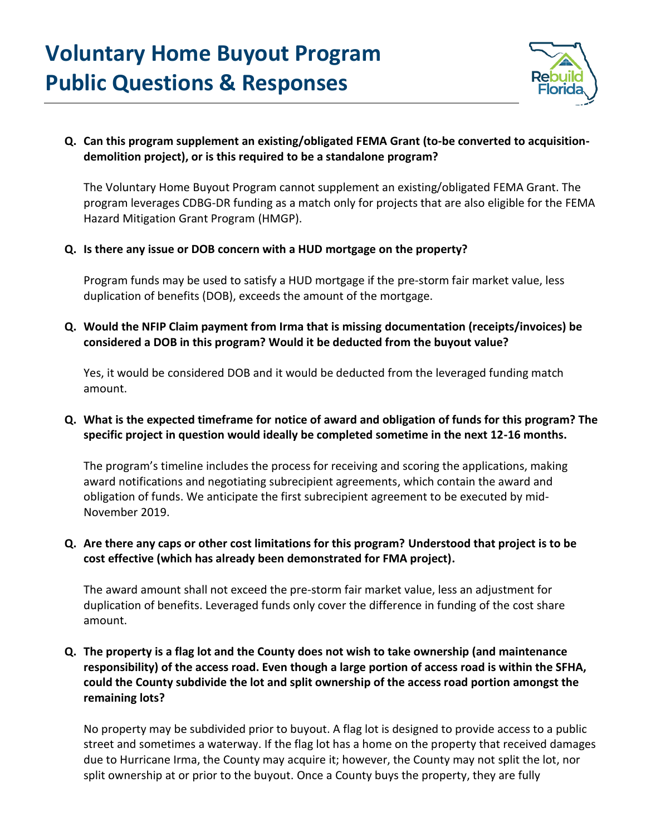# **Voluntary Home Buyout Program Public Questions & Responses**



# **Q. Can this program supplement an existing/obligated FEMA Grant (to-be converted to acquisitiondemolition project), or is this required to be a standalone program?**

The Voluntary Home Buyout Program cannot supplement an existing/obligated FEMA Grant. The program leverages CDBG-DR funding as a match only for projects that are also eligible for the FEMA Hazard Mitigation Grant Program (HMGP).

#### **Q. Is there any issue or DOB concern with a HUD mortgage on the property?**

Program funds may be used to satisfy a HUD mortgage if the pre-storm fair market value, less duplication of benefits (DOB), exceeds the amount of the mortgage.

# **Q. Would the NFIP Claim payment from Irma that is missing documentation (receipts/invoices) be considered a DOB in this program? Would it be deducted from the buyout value?**

Yes, it would be considered DOB and it would be deducted from the leveraged funding match amount.

# **Q. What is the expected timeframe for notice of award and obligation of funds for this program? The specific project in question would ideally be completed sometime in the next 12-16 months.**

The program's timeline includes the process for receiving and scoring the applications, making award notifications and negotiating subrecipient agreements, which contain the award and obligation of funds. We anticipate the first subrecipient agreement to be executed by mid-November 2019.

#### **Q. Are there any caps or other cost limitations for this program? Understood that project is to be cost effective (which has already been demonstrated for FMA project).**

The award amount shall not exceed the pre-storm fair market value, less an adjustment for duplication of benefits. Leveraged funds only cover the difference in funding of the cost share amount.

# **Q. The property is a flag lot and the County does not wish to take ownership (and maintenance responsibility) of the access road. Even though a large portion of access road is within the SFHA, could the County subdivide the lot and split ownership of the access road portion amongst the remaining lots?**

No property may be subdivided prior to buyout. A flag lot is designed to provide access to a public street and sometimes a waterway. If the flag lot has a home on the property that received damages due to Hurricane Irma, the County may acquire it; however, the County may not split the lot, nor split ownership at or prior to the buyout. Once a County buys the property, they are fully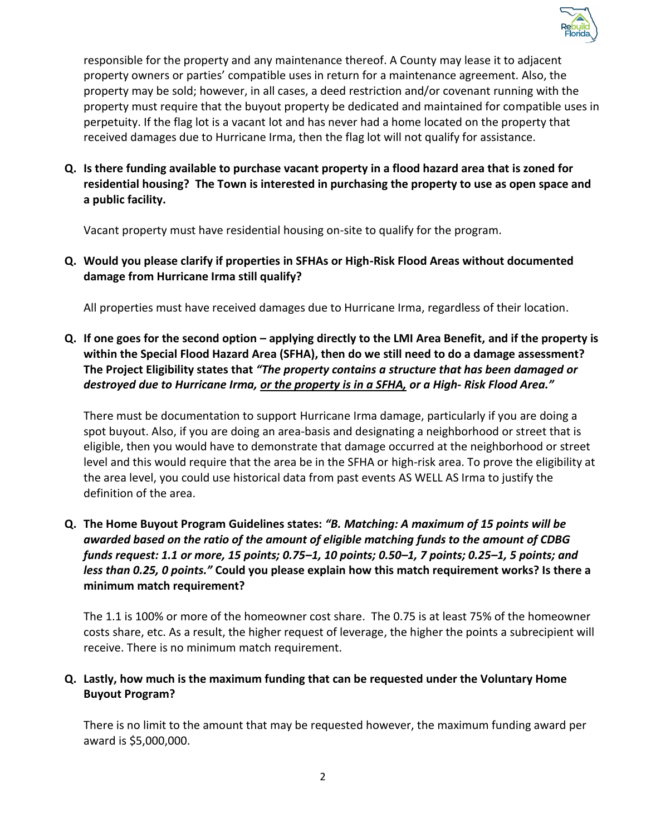

responsible for the property and any maintenance thereof. A County may lease it to adjacent property owners or parties' compatible uses in return for a maintenance agreement. Also, the property may be sold; however, in all cases, a deed restriction and/or covenant running with the property must require that the buyout property be dedicated and maintained for compatible uses in perpetuity. If the flag lot is a vacant lot and has never had a home located on the property that received damages due to Hurricane Irma, then the flag lot will not qualify for assistance.

**Q. Is there funding available to purchase vacant property in a flood hazard area that is zoned for residential housing? The Town is interested in purchasing the property to use as open space and a public facility.**

Vacant property must have residential housing on-site to qualify for the program.

**Q. Would you please clarify if properties in SFHAs or High-Risk Flood Areas without documented damage from Hurricane Irma still qualify?**

All properties must have received damages due to Hurricane Irma, regardless of their location.

**Q. If one goes for the second option – applying directly to the LMI Area Benefit, and if the property is within the Special Flood Hazard Area (SFHA), then do we still need to do a damage assessment? The Project Eligibility states that** *"The property contains a structure that has been damaged or destroyed due to Hurricane Irma, or the property is in a SFHA, or a High- Risk Flood Area."* 

There must be documentation to support Hurricane Irma damage, particularly if you are doing a spot buyout. Also, if you are doing an area-basis and designating a neighborhood or street that is eligible, then you would have to demonstrate that damage occurred at the neighborhood or street level and this would require that the area be in the SFHA or high-risk area. To prove the eligibility at the area level, you could use historical data from past events AS WELL AS Irma to justify the definition of the area.

**Q. The Home Buyout Program Guidelines states:** *"B. Matching: A maximum of 15 points will be awarded based on the ratio of the amount of eligible matching funds to the amount of CDBG funds request: 1.1 or more, 15 points; 0.75–1, 10 points; 0.50–1, 7 points; 0.25–1, 5 points; and less than 0.25, 0 points."* **Could you please explain how this match requirement works? Is there a minimum match requirement?**

The 1.1 is 100% or more of the homeowner cost share. The 0.75 is at least 75% of the homeowner costs share, etc. As a result, the higher request of leverage, the higher the points a subrecipient will receive. There is no minimum match requirement.

#### **Q. Lastly, how much is the maximum funding that can be requested under the Voluntary Home Buyout Program?**

There is no limit to the amount that may be requested however, the maximum funding award per award is \$5,000,000.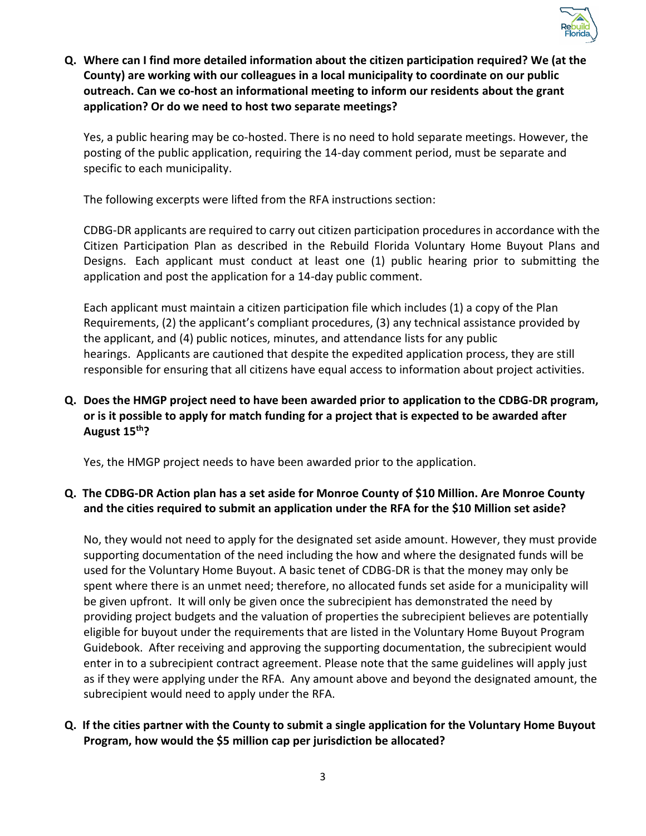

**Q. Where can I find more detailed information about the citizen participation required? We (at the County) are working with our colleagues in a local municipality to coordinate on our public outreach. Can we co-host an informational meeting to inform our residents about the grant application? Or do we need to host two separate meetings?**

Yes, a public hearing may be co-hosted. There is no need to hold separate meetings. However, the posting of the public application, requiring the 14-day comment period, must be separate and specific to each municipality.

The following excerpts were lifted from the RFA instructions section:

CDBG-DR applicants are required to carry out citizen participation procedures in accordance with the Citizen Participation Plan as described in the Rebuild Florida Voluntary Home Buyout Plans and Designs. Each applicant must conduct at least one (1) public hearing prior to submitting the application and post the application for a 14-day public comment.

Each applicant must maintain a citizen participation file which includes (1) a copy of the Plan Requirements, (2) the applicant's compliant procedures, (3) any technical assistance provided by the applicant, and (4) public notices, minutes, and attendance lists for any public hearings. Applicants are cautioned that despite the expedited application process, they are still responsible for ensuring that all citizens have equal access to information about project activities.

# **Q. Does the HMGP project need to have been awarded prior to application to the CDBG-DR program, or is it possible to apply for match funding for a project that is expected to be awarded after August 15th?**

Yes, the HMGP project needs to have been awarded prior to the application.

# **Q. The CDBG-DR Action plan has a set aside for Monroe County of \$10 Million. Are Monroe County and the cities required to submit an application under the RFA for the \$10 Million set aside?**

No, they would not need to apply for the designated set aside amount. However, they must provide supporting documentation of the need including the how and where the designated funds will be used for the Voluntary Home Buyout. A basic tenet of CDBG-DR is that the money may only be spent where there is an unmet need; therefore, no allocated funds set aside for a municipality will be given upfront. It will only be given once the subrecipient has demonstrated the need by providing project budgets and the valuation of properties the subrecipient believes are potentially eligible for buyout under the requirements that are listed in the Voluntary Home Buyout Program Guidebook. After receiving and approving the supporting documentation, the subrecipient would enter in to a subrecipient contract agreement. Please note that the same guidelines will apply just as if they were applying under the RFA. Any amount above and beyond the designated amount, the subrecipient would need to apply under the RFA.

# **Q. If the cities partner with the County to submit a single application for the Voluntary Home Buyout Program, how would the \$5 million cap per jurisdiction be allocated?**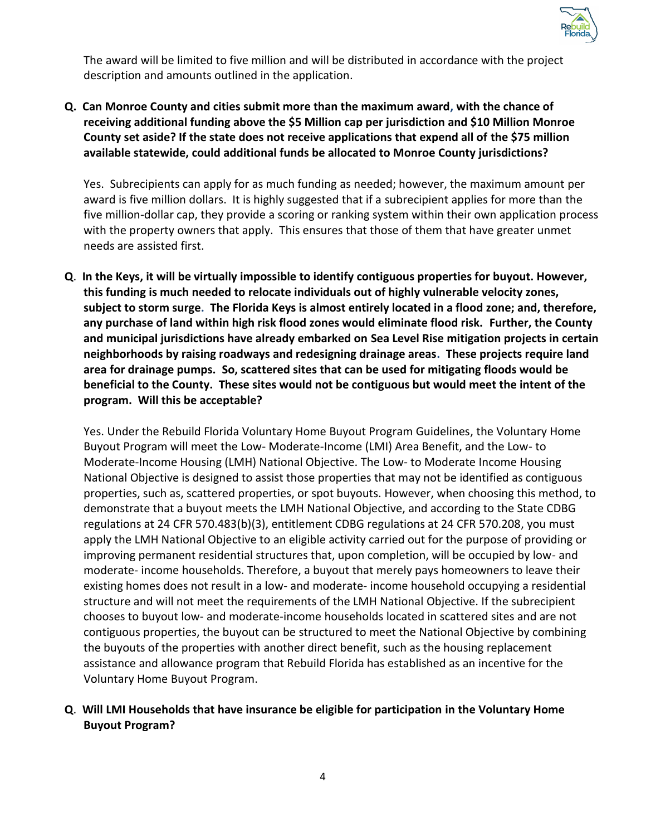

The award will be limited to five million and will be distributed in accordance with the project description and amounts outlined in the application.

# **Q. Can Monroe County and cities submit more than the maximum award, with the chance of receiving additional funding above the \$5 Million cap per jurisdiction and \$10 Million Monroe County set aside? If the state does not receive applications that expend all of the \$75 million available statewide, could additional funds be allocated to Monroe County jurisdictions?**

Yes. Subrecipients can apply for as much funding as needed; however, the maximum amount per award is five million dollars. It is highly suggested that if a subrecipient applies for more than the five million-dollar cap, they provide a scoring or ranking system within their own application process with the property owners that apply. This ensures that those of them that have greater unmet needs are assisted first.

**Q**. **In the Keys, it will be virtually impossible to identify contiguous properties for buyout. However, this funding is much needed to relocate individuals out of highly vulnerable velocity zones, subject to storm surge. The Florida Keys is almost entirely located in a flood zone; and, therefore, any purchase of land within high risk flood zones would eliminate flood risk. Further, the County and municipal jurisdictions have already embarked on Sea Level Rise mitigation projects in certain neighborhoods by raising roadways and redesigning drainage areas. These projects require land area for drainage pumps. So, scattered sites that can be used for mitigating floods would be beneficial to the County. These sites would not be contiguous but would meet the intent of the program. Will this be acceptable?**

Yes. Under the Rebuild Florida Voluntary Home Buyout Program Guidelines, the Voluntary Home Buyout Program will meet the Low- Moderate-Income (LMI) Area Benefit, and the Low- to Moderate-Income Housing (LMH) National Objective. The Low- to Moderate Income Housing National Objective is designed to assist those properties that may not be identified as contiguous properties, such as, scattered properties, or spot buyouts. However, when choosing this method, to demonstrate that a buyout meets the LMH National Objective, and according to the State CDBG regulations at 24 CFR 570.483(b)(3), entitlement CDBG regulations at 24 CFR 570.208, you must apply the LMH National Objective to an eligible activity carried out for the purpose of providing or improving permanent residential structures that, upon completion, will be occupied by low- and moderate- income households. Therefore, a buyout that merely pays homeowners to leave their existing homes does not result in a low- and moderate- income household occupying a residential structure and will not meet the requirements of the LMH National Objective. If the subrecipient chooses to buyout low- and moderate-income households located in scattered sites and are not contiguous properties, the buyout can be structured to meet the National Objective by combining the buyouts of the properties with another direct benefit, such as the housing replacement assistance and allowance program that Rebuild Florida has established as an incentive for the Voluntary Home Buyout Program.

#### **Q**. **Will LMI Households that have insurance be eligible for participation in the Voluntary Home Buyout Program?**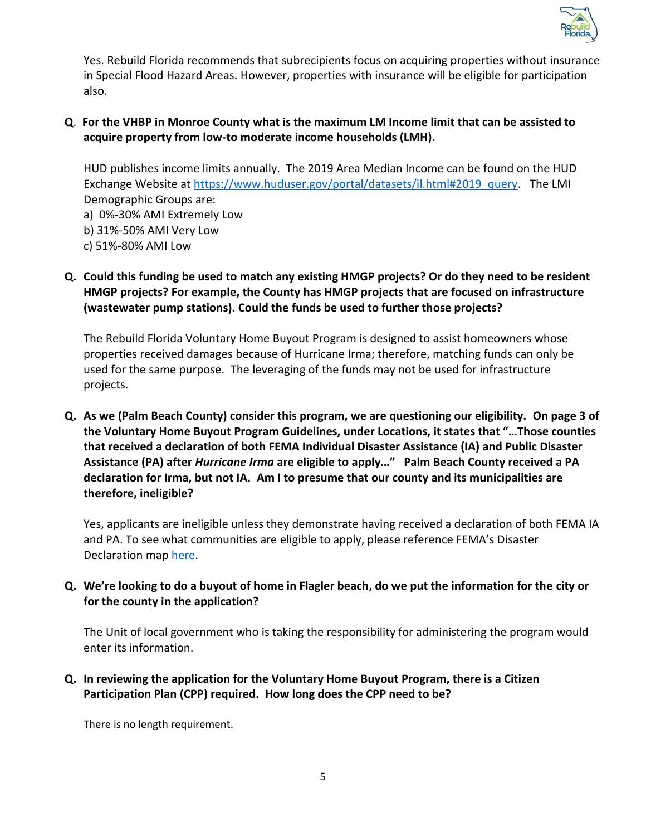

Yes. Rebuild Florida recommends that subrecipients focus on acquiring properties without insurance in Special Flood Hazard Areas. However, properties with insurance will be eligible for participation also.

# **Q**. **For the VHBP in Monroe County what is the maximum LM Income limit that can be assisted to acquire property from low-to moderate income households (LMH).**

HUD publishes income limits annually. The 2019 Area Median Income can be found on the HUD Exchange Website at [https://www.huduser.gov/portal/datasets/il.html#2019\\_query.](https://www.huduser.gov/portal/datasets/il.html#2019_query) The LMI Demographic Groups are:

a) 0%-30% AMI Extremely Low

- b) 31%-50% AMI Very Low
- c) 51%-80% AMI Low

# **Q. Could this funding be used to match any existing HMGP projects? Or do they need to be resident HMGP projects? For example, the County has HMGP projects that are focused on infrastructure (wastewater pump stations). Could the funds be used to further those projects?**

The Rebuild Florida Voluntary Home Buyout Program is designed to assist homeowners whose properties received damages because of Hurricane Irma; therefore, matching funds can only be used for the same purpose. The leveraging of the funds may not be used for infrastructure projects.

**Q. As we (Palm Beach County) consider this program, we are questioning our eligibility. On page 3 of the Voluntary Home Buyout Program Guidelines, under Locations, it states that "…Those counties that received a declaration of both FEMA Individual Disaster Assistance (IA) and Public Disaster Assistance (PA) after** *Hurricane Irma* **are eligible to apply…" Palm Beach County received a PA declaration for Irma, but not IA. Am I to presume that our county and its municipalities are therefore, ineligible?**

Yes, applicants are ineligible unless they demonstrate having received a declaration of both FEMA IA and PA. To see what communities are eligible to apply, please reference FEMA's Disaster Declaration map [here.](https://www.fema.gov/disaster/4337)

# **Q. We're looking to do a buyout of home in Flagler beach, do we put the information for the city or for the county in the application?**

The Unit of local government who is taking the responsibility for administering the program would enter its information.

#### **Q. In reviewing the application for the Voluntary Home Buyout Program, there is a Citizen Participation Plan (CPP) required. How long does the CPP need to be?**

There is no length requirement.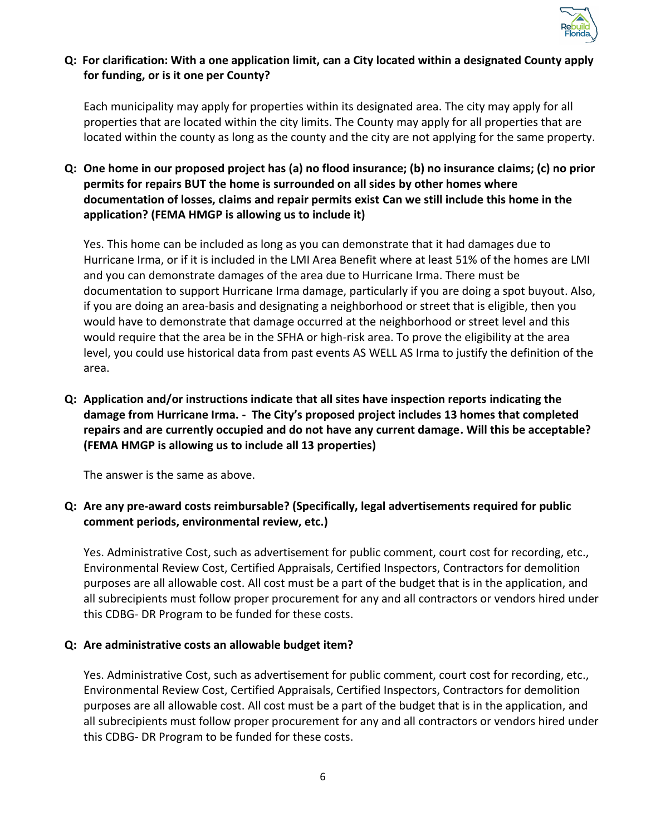

# **Q: For clarification: With a one application limit, can a City located within a designated County apply for funding, or is it one per County?**

Each municipality may apply for properties within its designated area. The city may apply for all properties that are located within the city limits. The County may apply for all properties that are located within the county as long as the county and the city are not applying for the same property.

**Q: One home in our proposed project has (a) no flood insurance; (b) no insurance claims; (c) no prior permits for repairs BUT the home is surrounded on all sides by other homes where documentation of losses, claims and repair permits exist Can we still include this home in the application? (FEMA HMGP is allowing us to include it)**

Yes. This home can be included as long as you can demonstrate that it had damages due to Hurricane Irma, or if it is included in the LMI Area Benefit where at least 51% of the homes are LMI and you can demonstrate damages of the area due to Hurricane Irma. There must be documentation to support Hurricane Irma damage, particularly if you are doing a spot buyout. Also, if you are doing an area-basis and designating a neighborhood or street that is eligible, then you would have to demonstrate that damage occurred at the neighborhood or street level and this would require that the area be in the SFHA or high-risk area. To prove the eligibility at the area level, you could use historical data from past events AS WELL AS Irma to justify the definition of the area.

**Q: Application and/or instructions indicate that all sites have inspection reports indicating the damage from Hurricane Irma. - The City's proposed project includes 13 homes that completed repairs and are currently occupied and do not have any current damage. Will this be acceptable? (FEMA HMGP is allowing us to include all 13 properties)**

The answer is the same as above.

# **Q: Are any pre-award costs reimbursable? (Specifically, legal advertisements required for public comment periods, environmental review, etc.)**

Yes. Administrative Cost, such as advertisement for public comment, court cost for recording, etc., Environmental Review Cost, Certified Appraisals, Certified Inspectors, Contractors for demolition purposes are all allowable cost. All cost must be a part of the budget that is in the application, and all subrecipients must follow proper procurement for any and all contractors or vendors hired under this CDBG- DR Program to be funded for these costs.

#### **Q: Are administrative costs an allowable budget item?**

Yes. Administrative Cost, such as advertisement for public comment, court cost for recording, etc., Environmental Review Cost, Certified Appraisals, Certified Inspectors, Contractors for demolition purposes are all allowable cost. All cost must be a part of the budget that is in the application, and all subrecipients must follow proper procurement for any and all contractors or vendors hired under this CDBG- DR Program to be funded for these costs.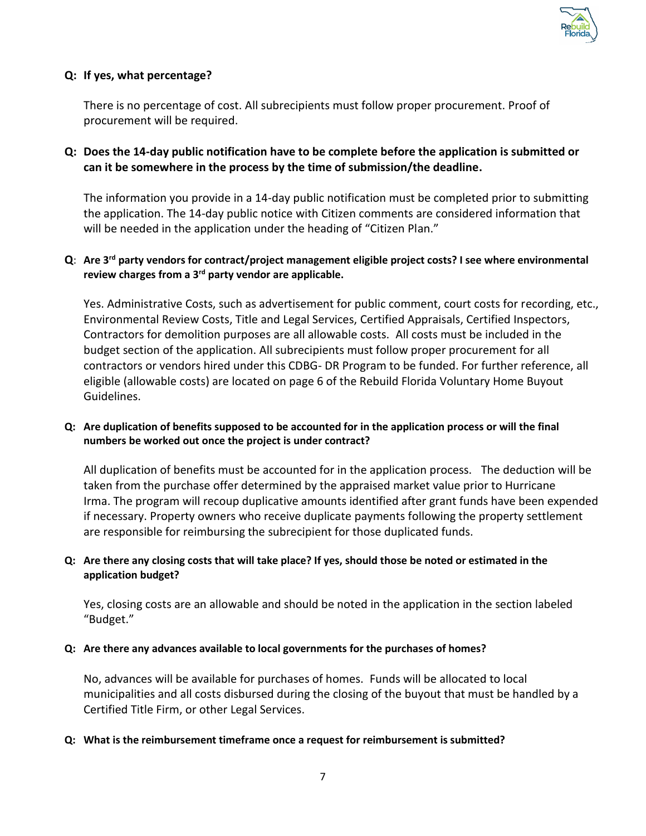

#### **Q: If yes, what percentage?**

There is no percentage of cost. All subrecipients must follow proper procurement. Proof of procurement will be required.

#### **Q: Does the 14-day public notification have to be complete before the application is submitted or can it be somewhere in the process by the time of submission/the deadline.**

The information you provide in a 14-day public notification must be completed prior to submitting the application. The 14-day public notice with Citizen comments are considered information that will be needed in the application under the heading of "Citizen Plan."

#### **Q**: **Are 3rd party vendors for contract/project management eligible project costs? I see where environmental review charges from a 3rd party vendor are applicable.**

Yes. Administrative Costs, such as advertisement for public comment, court costs for recording, etc., Environmental Review Costs, Title and Legal Services, Certified Appraisals, Certified Inspectors, Contractors for demolition purposes are all allowable costs. All costs must be included in the budget section of the application. All subrecipients must follow proper procurement for all contractors or vendors hired under this CDBG- DR Program to be funded. For further reference, all eligible (allowable costs) are located on page 6 of the Rebuild Florida Voluntary Home Buyout Guidelines.

#### **Q: Are duplication of benefits supposed to be accounted for in the application process or will the final numbers be worked out once the project is under contract?**

All duplication of benefits must be accounted for in the application process. The deduction will be taken from the purchase offer determined by the appraised market value prior to Hurricane Irma. The program will recoup duplicative amounts identified after grant funds have been expended if necessary. Property owners who receive duplicate payments following the property settlement are responsible for reimbursing the subrecipient for those duplicated funds.

#### **Q: Are there any closing costs that will take place? If yes, should those be noted or estimated in the application budget?**

Yes, closing costs are an allowable and should be noted in the application in the section labeled "Budget."

#### **Q: Are there any advances available to local governments for the purchases of homes?**

No, advances will be available for purchases of homes. Funds will be allocated to local municipalities and all costs disbursed during the closing of the buyout that must be handled by a Certified Title Firm, or other Legal Services.

#### **Q: What is the reimbursement timeframe once a request for reimbursement is submitted?**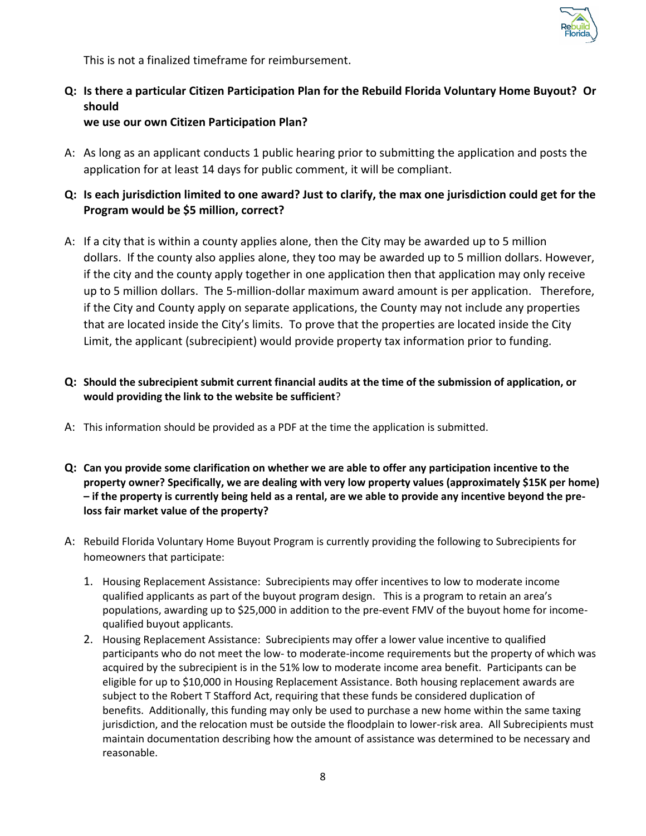

This is not a finalized timeframe for reimbursement.

# **Q: Is there a particular Citizen Participation Plan for the Rebuild Florida Voluntary Home Buyout? Or should**

**we use our own Citizen Participation Plan?**

- A: As long as an applicant conducts 1 public hearing prior to submitting the application and posts the application for at least 14 days for public comment, it will be compliant.
- **Q: Is each jurisdiction limited to one award? Just to clarify, the max one jurisdiction could get for the Program would be \$5 million, correct?**
- A: If a city that is within a county applies alone, then the City may be awarded up to 5 million dollars. If the county also applies alone, they too may be awarded up to 5 million dollars. However, if the city and the county apply together in one application then that application may only receive up to 5 million dollars. The 5-million-dollar maximum award amount is per application. Therefore, if the City and County apply on separate applications, the County may not include any properties that are located inside the City's limits. To prove that the properties are located inside the City Limit, the applicant (subrecipient) would provide property tax information prior to funding.
- **Q: Should the subrecipient submit current financial audits at the time of the submission of application, or would providing the link to the website be sufficient**?
- A: This information should be provided as a PDF at the time the application is submitted.
- **Q: Can you provide some clarification on whether we are able to offer any participation incentive to the property owner? Specifically, we are dealing with very low property values (approximately \$15K per home) – if the property is currently being held as a rental, are we able to provide any incentive beyond the preloss fair market value of the property?**
- A: Rebuild Florida Voluntary Home Buyout Program is currently providing the following to Subrecipients for homeowners that participate:
	- 1. Housing Replacement Assistance: Subrecipients may offer incentives to low to moderate income qualified applicants as part of the buyout program design. This is a program to retain an area's populations, awarding up to \$25,000 in addition to the pre-event FMV of the buyout home for incomequalified buyout applicants.
	- 2. Housing Replacement Assistance: Subrecipients may offer a lower value incentive to qualified participants who do not meet the low- to moderate-income requirements but the property of which was acquired by the subrecipient is in the 51% low to moderate income area benefit. Participants can be eligible for up to \$10,000 in Housing Replacement Assistance. Both housing replacement awards are subject to the Robert T Stafford Act, requiring that these funds be considered duplication of benefits. Additionally, this funding may only be used to purchase a new home within the same taxing jurisdiction, and the relocation must be outside the floodplain to lower-risk area. All Subrecipients must maintain documentation describing how the amount of assistance was determined to be necessary and reasonable.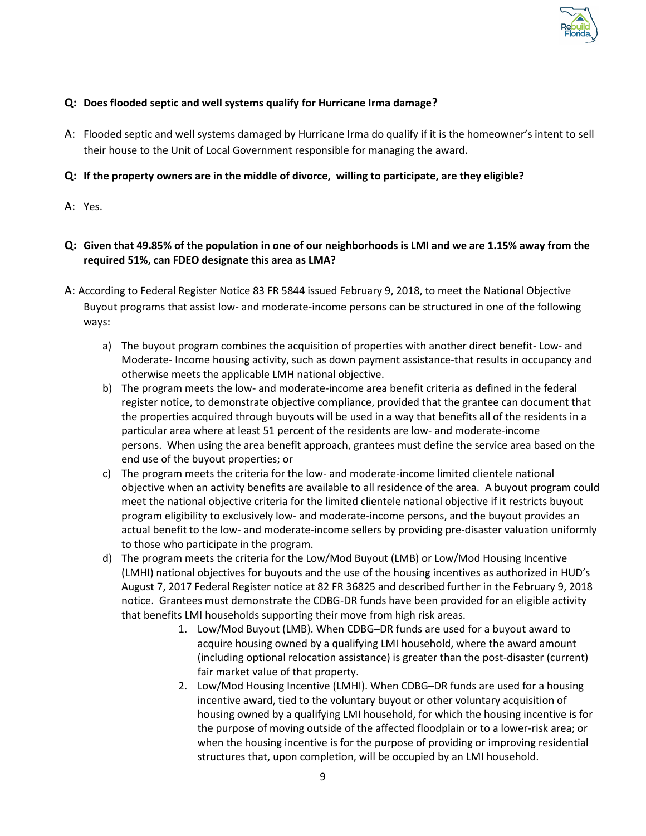

#### **Q: Does flooded septic and well systems qualify for Hurricane Irma damage?**

A: Flooded septic and well systems damaged by Hurricane Irma do qualify if it is the homeowner's intent to sell their house to the Unit of Local Government responsible for managing the award.

#### **Q: If the property owners are in the middle of divorce, willing to participate, are they eligible?**

A: Yes.

#### **Q: Given that 49.85% of the population in one of our neighborhoods is LMI and we are 1.15% away from the required 51%, can FDEO designate this area as LMA?**

- A: According to Federal Register Notice 83 FR 5844 issued February 9, 2018, to meet the National Objective Buyout programs that assist low- and moderate-income persons can be structured in one of the following ways:
	- a) The buyout program combines the acquisition of properties with another direct benefit- Low- and Moderate- Income housing activity, such as down payment assistance-that results in occupancy and otherwise meets the applicable LMH national objective.
	- b) The program meets the low- and moderate-income area benefit criteria as defined in the federal register notice, to demonstrate objective compliance, provided that the grantee can document that the properties acquired through buyouts will be used in a way that benefits all of the residents in a particular area where at least 51 percent of the residents are low- and moderate-income persons. When using the area benefit approach, grantees must define the service area based on the end use of the buyout properties; or
	- c) The program meets the criteria for the low- and moderate-income limited clientele national objective when an activity benefits are available to all residence of the area. A buyout program could meet the national objective criteria for the limited clientele national objective if it restricts buyout program eligibility to exclusively low- and moderate-income persons, and the buyout provides an actual benefit to the low- and moderate-income sellers by providing pre-disaster valuation uniformly to those who participate in the program.
	- d) The program meets the criteria for the Low/Mod Buyout (LMB) or Low/Mod Housing Incentive (LMHI) national objectives for buyouts and the use of the housing incentives as authorized in HUD's August 7, 2017 Federal Register notice at 82 FR 36825 and described further in the February 9, 2018 notice. Grantees must demonstrate the CDBG-DR funds have been provided for an eligible activity that benefits LMI households supporting their move from high risk areas.
		- 1. Low/Mod Buyout (LMB). When CDBG–DR funds are used for a buyout award to acquire housing owned by a qualifying LMI household, where the award amount (including optional relocation assistance) is greater than the post-disaster (current) fair market value of that property.
		- 2. Low/Mod Housing Incentive (LMHI). When CDBG–DR funds are used for a housing incentive award, tied to the voluntary buyout or other voluntary acquisition of housing owned by a qualifying LMI household, for which the housing incentive is for the purpose of moving outside of the affected floodplain or to a lower-risk area; or when the housing incentive is for the purpose of providing or improving residential structures that, upon completion, will be occupied by an LMI household.